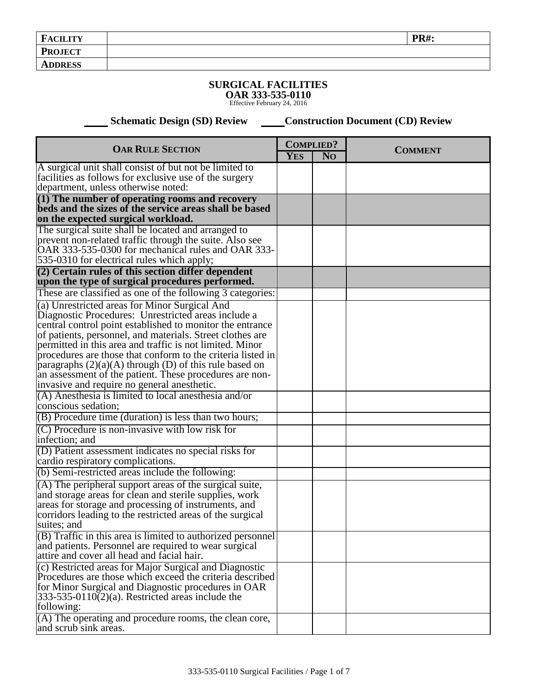## **SURGICAL FACILITIES**

**OAR 333-535-0110** Effective February 24, 2016

**Schematic Design (SD) Review Construction Document (CD) Review** 

| <b>OAR RULE SECTION</b>                                                                                                                                                                                                                                                                                                                                                                                                                                                                                                         |            | <b>COMPLIED?</b> |                |
|---------------------------------------------------------------------------------------------------------------------------------------------------------------------------------------------------------------------------------------------------------------------------------------------------------------------------------------------------------------------------------------------------------------------------------------------------------------------------------------------------------------------------------|------------|------------------|----------------|
|                                                                                                                                                                                                                                                                                                                                                                                                                                                                                                                                 | <b>YES</b> | N <sub>O</sub>   | <b>COMMENT</b> |
| A surgical unit shall consist of but not be limited to<br>facilities as follows for exclusive use of the surgery<br>department, unless otherwise noted:                                                                                                                                                                                                                                                                                                                                                                         |            |                  |                |
| $(1)$ The number of operating rooms and recovery<br>beds and the sizes of the service areas shall be based<br>on the expected surgical workload.                                                                                                                                                                                                                                                                                                                                                                                |            |                  |                |
| The surgical suite shall be located and arranged to<br>prevent non-related traffic through the suite. Also see<br>OAR 333-535-0300 for mechanical rules and OAR 333-<br>535-0310 for electrical rules which apply;                                                                                                                                                                                                                                                                                                              |            |                  |                |
| (2) Certain rules of this section differ dependent<br>upon the type of surgical procedures performed.                                                                                                                                                                                                                                                                                                                                                                                                                           |            |                  |                |
| These are classified as one of the following 3 categories:                                                                                                                                                                                                                                                                                                                                                                                                                                                                      |            |                  |                |
| (a) Unrestricted areas for Minor Surgical And<br>Diagnostic Procedures: Unrestricted areas include a<br>central control point established to monitor the entrance<br>of patients, personnel, and materials. Street clothes are<br>permitted in this area and traffic is not limited. Minor<br>procedures are those that conform to the criteria listed in<br>paragraphs $(2)(a)(A)$ through (D) of this rule based on<br>an assessment of the patient. These procedures are non-<br>invasive and require no general anesthetic. |            |                  |                |
| (A) Anesthesia is limited to local anesthesia and/or<br>conscious sedation;                                                                                                                                                                                                                                                                                                                                                                                                                                                     |            |                  |                |
| (B) Procedure time (duration) is less than two hours;                                                                                                                                                                                                                                                                                                                                                                                                                                                                           |            |                  |                |
| (C) Procedure is non-invasive with low risk for<br>infection; and                                                                                                                                                                                                                                                                                                                                                                                                                                                               |            |                  |                |
| (D) Patient assessment indicates no special risks for<br>cardio respiratory complications.                                                                                                                                                                                                                                                                                                                                                                                                                                      |            |                  |                |
| (b) Semi-restricted areas include the following:                                                                                                                                                                                                                                                                                                                                                                                                                                                                                |            |                  |                |
| (A) The peripheral support areas of the surgical suite,<br>and storage areas for clean and sterile supplies, work<br>areas for storage and processing of instruments, and<br>corridors leading to the restricted areas of the surgical<br>suites; and                                                                                                                                                                                                                                                                           |            |                  |                |
| $(B)$ Traffic in this area is limited to authorized personnel<br>and patients. Personnel are required to wear surgical<br>attire and cover all head and facial hair.                                                                                                                                                                                                                                                                                                                                                            |            |                  |                |
| (c) Restricted areas for Major Surgical and Diagnostic<br>Procedures are those which exceed the criteria described<br>for Minor Surgical and Diagnostic procedures in OAR<br>$333-535-0110(2)(a)$ . Restricted areas include the<br>following:<br>(A) The operating and procedure rooms, the clean core,                                                                                                                                                                                                                        |            |                  |                |
| and scrub sink areas.                                                                                                                                                                                                                                                                                                                                                                                                                                                                                                           |            |                  |                |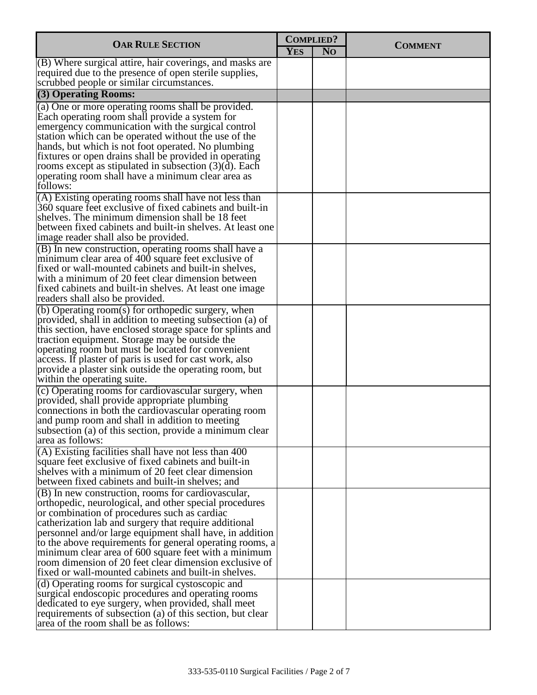| <b>OAR RULE SECTION</b>                                                                                                                                                                                                                                                                                                                                                                                                                                                                                                                                                     |            | <b>COMPLIED?</b> | <b>COMMENT</b> |
|-----------------------------------------------------------------------------------------------------------------------------------------------------------------------------------------------------------------------------------------------------------------------------------------------------------------------------------------------------------------------------------------------------------------------------------------------------------------------------------------------------------------------------------------------------------------------------|------------|------------------|----------------|
|                                                                                                                                                                                                                                                                                                                                                                                                                                                                                                                                                                             | <b>YES</b> | N <sub>O</sub>   |                |
| $($ B) Where surgical attire, hair coverings, and masks are<br>required due to the presence of open sterile supplies,<br>scrubbed people or similar circumstances.                                                                                                                                                                                                                                                                                                                                                                                                          |            |                  |                |
| (3) Operating Rooms:                                                                                                                                                                                                                                                                                                                                                                                                                                                                                                                                                        |            |                  |                |
| (a) One or more operating rooms shall be provided.<br>Each operating room shall provide a system for<br>emergency communication with the surgical control<br>station which can be operated without the use of the<br>hands, but which is not foot operated. No plumbing<br>fixtures or open drains shall be provided in operating<br>rooms except as stipulated in subsection $(3)(d)$ . Each<br>operating room shall have a minimum clear area as<br>follows:                                                                                                              |            |                  |                |
| (A) Existing operating rooms shall have not less than<br>360 square feet exclusive of fixed cabinets and built-in<br>shelves. The minimum dimension shall be 18 feet<br>between fixed cabinets and built-in shelves. At least one<br>image reader shall also be provided.                                                                                                                                                                                                                                                                                                   |            |                  |                |
| (B) In new construction, operating rooms shall have a<br>minimum clear area of 400 square feet exclusive of<br>fixed or wall-mounted cabinets and built-in shelves,<br>with a minimum of 20 feet clear dimension between<br>fixed cabinets and built-in shelves. At least one image<br>readers shall also be provided.                                                                                                                                                                                                                                                      |            |                  |                |
| (b) Operating room(s) for orthopedic surgery, when<br>provided, shall in addition to meeting subsection (a) of<br>this section, have enclosed storage space for splints and<br>traction equipment. Storage may be outside the<br>operating room but must be located for convenient<br>access. If plaster of paris is used for cast work, also<br>provide a plaster sink outside the operating room, but<br>within the operating suite.                                                                                                                                      |            |                  |                |
| (c) Operating rooms for cardiovascular surgery, when<br>provided, shall provide appropriate plumbing<br>connections in both the cardiovascular operating room<br>and pump room and shall in addition to meeting<br>subsection (a) of this section, provide a minimum clear<br>area as follows:                                                                                                                                                                                                                                                                              |            |                  |                |
| $(A)$ Existing facilities shall have not less than 400<br>square feet exclusive of fixed cabinets and built-in<br>shelves with a minimum of 20 feet clear dimension<br>between fixed cabinets and built-in shelves; and                                                                                                                                                                                                                                                                                                                                                     |            |                  |                |
| (B) In new construction, rooms for cardiovascular,<br>orthopedic, neurological, and other special procedures<br>or combination of procedures such as cardiac<br>catherization lab and surgery that require additional<br>personnel and/or large equipment shall have, in addition<br>to the above requirements for general operating rooms, a<br>minimum clear area of 600 square feet with a minimum<br>room dimension of 20 feet clear dimension exclusive of<br>fixed or wall-mounted cabinets and built-in shelves.<br>(d) Operating rooms for surgical cystoscopic and |            |                  |                |
| surgical endoscopic procedures and operating rooms<br>dedicated to eye surgery, when provided, shall meet<br>requirements of subsection (a) of this section, but clear<br>area of the room shall be as follows:                                                                                                                                                                                                                                                                                                                                                             |            |                  |                |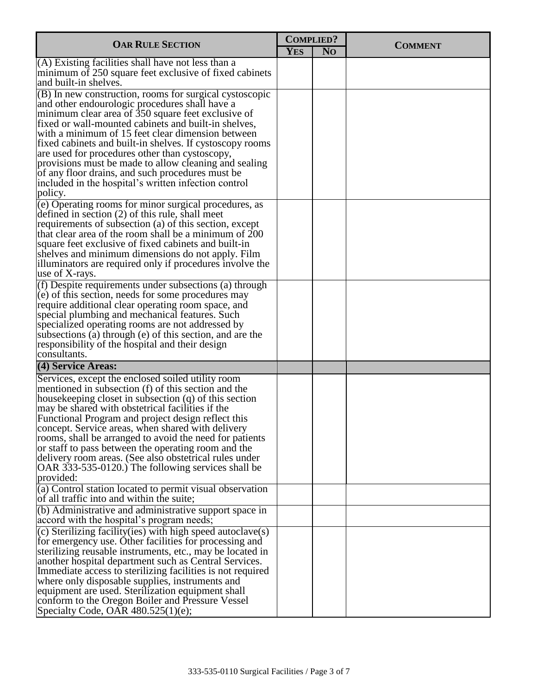| <b>OAR RULE SECTION</b>                                                                                                                                                                                                                                                                                                                                                                   |            | <b>COMPLIED?</b> | <b>COMMENT</b> |
|-------------------------------------------------------------------------------------------------------------------------------------------------------------------------------------------------------------------------------------------------------------------------------------------------------------------------------------------------------------------------------------------|------------|------------------|----------------|
|                                                                                                                                                                                                                                                                                                                                                                                           | <b>YES</b> | N <sub>O</sub>   |                |
| $(A)$ Existing facilities shall have not less than a<br>minimum of 250 square feet exclusive of fixed cabinets<br>and built-in shelves.                                                                                                                                                                                                                                                   |            |                  |                |
| $(B)$ In new construction, rooms for surgical cystoscopic<br>and other endourologic procedures shall have a<br>minimum clear area of 350 square feet exclusive of<br>fixed or wall-mounted cabinets and built-in shelves,                                                                                                                                                                 |            |                  |                |
| with a minimum of 15 feet clear dimension between<br>fixed cabinets and built-in shelves. If cystoscopy rooms<br>are used for procedures other than cystoscopy,<br>provisions must be made to allow cleaning and sealing<br>of any floor drains, and such procedures must be                                                                                                              |            |                  |                |
| included in the hospital's written infection control<br>policy.                                                                                                                                                                                                                                                                                                                           |            |                  |                |
| (e) Operating rooms for minor surgical procedures, as<br>defined in section $(2)$ of this rule, shall meet<br>requirements of subsection (a) of this section, except                                                                                                                                                                                                                      |            |                  |                |
| that clear area of the room shall be a minimum of $200$<br>square feet exclusive of fixed cabinets and built-in<br>shelves and minimum dimensions do not apply. Film<br>illuminators are required only if procedures involve the<br>use of X-rays.                                                                                                                                        |            |                  |                |
| $(f)$ Despite requirements under subsections (a) through<br>(e) of this section, needs for some procedures may<br>require additional clear operating room space, and<br>special plumbing and mechanical features. Such<br>specialized operating rooms are not addressed by<br>subsections (a) through (e) of this section, and are the<br>responsibility of the hospital and their design |            |                  |                |
| consultants.                                                                                                                                                                                                                                                                                                                                                                              |            |                  |                |
| (4) Service Areas:                                                                                                                                                                                                                                                                                                                                                                        |            |                  |                |
| Services, except the enclosed soiled utility room<br>mentioned in subsection (f) of this section and the<br>housekeeping closet in subsection (q) of this section<br>may be shared with obstetrical facilities if the<br>Functional Program and project design reflect this                                                                                                               |            |                  |                |
| concept. Service areas, when shared with delivery<br>rooms, shall be arranged to avoid the need for patients<br>or staff to pass between the operating room and the<br>delivery room areas. (See also obstetrical rules under<br>OAR 333-535-0120.) The following services shall be                                                                                                       |            |                  |                |
| provided:                                                                                                                                                                                                                                                                                                                                                                                 |            |                  |                |
| (a) Control station located to permit visual observation<br>of all traffic into and within the suite;                                                                                                                                                                                                                                                                                     |            |                  |                |
| (b) Administrative and administrative support space in<br>accord with the hospital's program needs;                                                                                                                                                                                                                                                                                       |            |                  |                |
| $(c)$ Sterilizing facility(ies) with high speed autoclave(s)<br>for emergency use. Other facilities for processing and<br>sterilizing reusable instruments, etc., may be located in<br>another hospital department such as Central Services.                                                                                                                                              |            |                  |                |
| Immediate access to sterilizing facilities is not required<br>where only disposable supplies, instruments and<br>equipment are used. Sterilization equipment shall                                                                                                                                                                                                                        |            |                  |                |
| conform to the Oregon Boiler and Pressure Vessel<br>Specialty Code, OAR 480.525(1)(e);                                                                                                                                                                                                                                                                                                    |            |                  |                |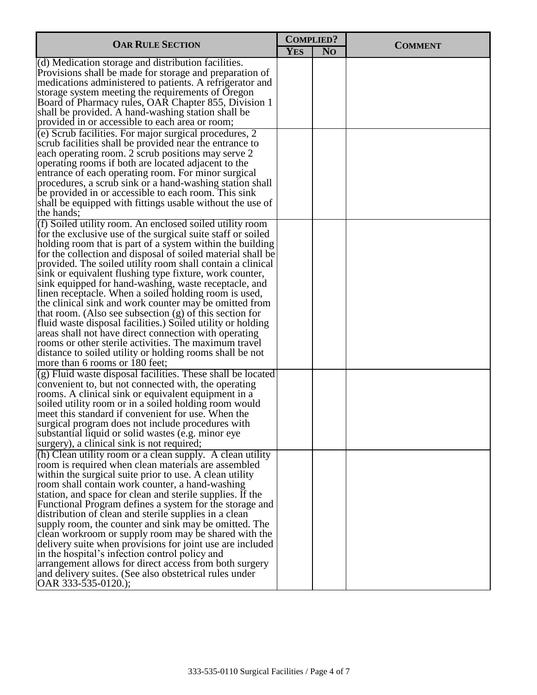| <b>OAR RULE SECTION</b>                                                                                                                                                                                                                                                                                                                                                                                                                                                                                                                                                                                                                                                                                                                                                                                                                                                                              |            | <b>COMPLIED?</b> | <b>COMMENT</b> |
|------------------------------------------------------------------------------------------------------------------------------------------------------------------------------------------------------------------------------------------------------------------------------------------------------------------------------------------------------------------------------------------------------------------------------------------------------------------------------------------------------------------------------------------------------------------------------------------------------------------------------------------------------------------------------------------------------------------------------------------------------------------------------------------------------------------------------------------------------------------------------------------------------|------------|------------------|----------------|
|                                                                                                                                                                                                                                                                                                                                                                                                                                                                                                                                                                                                                                                                                                                                                                                                                                                                                                      | <b>YES</b> | N <sub>O</sub>   |                |
| (d) Medication storage and distribution facilities.<br>Provisions shall be made for storage and preparation of<br>medications administered to patients. A refrigerator and<br>storage system meeting the requirements of Oregon<br>Board of Pharmacy rules, OAR Chapter 855, Division 1<br>shall be provided. A hand-washing station shall be<br>provided in or accessible to each area or room;                                                                                                                                                                                                                                                                                                                                                                                                                                                                                                     |            |                  |                |
| (e) Scrub facilities. For major surgical procedures, 2<br>scrub facilities shall be provided near the entrance to<br>each operating room. 2 scrub positions may serve 2<br>operating rooms if both are located adjacent to the<br>entrance of each operating room. For minor surgical<br>procedures, a scrub sink or a hand-washing station shall<br>be provided in or accessible to each room. This sink<br>shall be equipped with fittings usable without the use of<br>the hands;                                                                                                                                                                                                                                                                                                                                                                                                                 |            |                  |                |
| (f) Soiled utility room. An enclosed soiled utility room<br>for the exclusive use of the surgical suite staff or soiled<br>holding room that is part of a system within the building<br>for the collection and disposal of soiled material shall be<br>provided. The soiled utility room shall contain a clinical<br>sink or equivalent flushing type fixture, work counter,<br>sink equipped for hand-washing, waste receptacle, and<br>linen receptacle. When a soiled holding room is used,<br>the clinical sink and work counter may be omitted from<br>that room. (Also see subsection $(g)$ of this section for<br>fluid waste disposal facilities.) Soiled utility or holding<br>areas shall not have direct connection with operating<br>rooms or other sterile activities. The maximum travel<br>distance to soiled utility or holding rooms shall be not<br>more than 6 rooms or 180 feet; |            |                  |                |
| (g) Fluid waste disposal facilities. These shall be located<br>convenient to, but not connected with, the operating<br>rooms. A clinical sink or equivalent equipment in a<br>soiled utility room or in a soiled holding room would<br>meet this standard if convenient for use. When the<br>surgical program does not include procedures with<br>substantial liquid or solid wastes (e.g. minor eye<br>surgery), a clinical sink is not required;                                                                                                                                                                                                                                                                                                                                                                                                                                                   |            |                  |                |
| (h) Clean utility room or a clean supply. A clean utility<br>room is required when clean materials are assembled<br>within the surgical suite prior to use. A clean utility<br>room shall contain work counter, a hand-washing<br>station, and space for clean and sterile supplies. If the<br>Functional Program defines a system for the storage and<br>distribution of clean and sterile supplies in a clean<br>supply room, the counter and sink may be omitted. The<br>clean workroom or supply room may be shared with the<br>delivery suite when provisions for joint use are included<br>in the hospital's infection control policy and<br>arrangement allows for direct access from both surgery<br>and delivery suites. (See also obstetrical rules under<br>OAR $333 - 535 - 0120$ .);                                                                                                    |            |                  |                |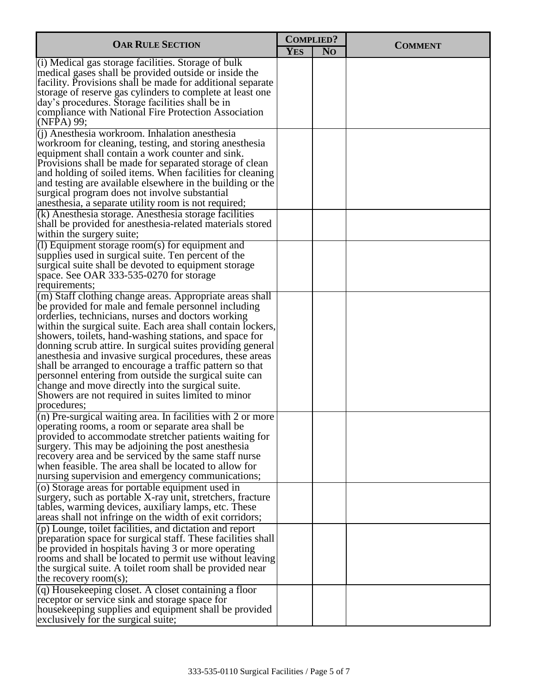| <b>OAR RULE SECTION</b>                                                                                                                                                                                                                                                                                                                                                                                                                                                                                                                                                                                                                                                    |            | <b>COMPLIED?</b> | <b>COMMENT</b> |
|----------------------------------------------------------------------------------------------------------------------------------------------------------------------------------------------------------------------------------------------------------------------------------------------------------------------------------------------------------------------------------------------------------------------------------------------------------------------------------------------------------------------------------------------------------------------------------------------------------------------------------------------------------------------------|------------|------------------|----------------|
|                                                                                                                                                                                                                                                                                                                                                                                                                                                                                                                                                                                                                                                                            | <b>YES</b> | N <sub>O</sub>   |                |
| (i) Medical gas storage facilities. Storage of bulk<br>medical gases shall be provided outside or inside the<br>facility. Provisions shall be made for additional separate<br>storage of reserve gas cylinders to complete at least one<br>day's procedures. Storage facilities shall be in<br>compliance with National Fire Protection Association<br>(NFPA) 99;                                                                                                                                                                                                                                                                                                          |            |                  |                |
| $(i)$ Anesthesia workroom. Inhalation anesthesia<br>workroom for cleaning, testing, and storing anesthesia<br>equipment shall contain a work counter and sink.<br>Provisions shall be made for separated storage of clean<br>and holding of soiled items. When facilities for cleaning<br>and testing are available elsewhere in the building or the<br>surgical program does not involve substantial<br>anesthesia, a separate utility room is not required;                                                                                                                                                                                                              |            |                  |                |
| $(k)$ Anesthesia storage. Anesthesia storage facilities<br>shall be provided for anesthesia-related materials stored<br>within the surgery suite;                                                                                                                                                                                                                                                                                                                                                                                                                                                                                                                          |            |                  |                |
| $(1)$ Equipment storage room(s) for equipment and<br>supplies used in surgical suite. Ten percent of the<br>surgical suite shall be devoted to equipment storage<br>space. See OAR 333-535-0270 for storage<br>requirements;                                                                                                                                                                                                                                                                                                                                                                                                                                               |            |                  |                |
| (m) Staff clothing change areas. Appropriate areas shall<br>be provided for male and female personnel including<br>orderlies, technicians, nurses and doctors working<br>within the surgical suite. Each area shall contain lockers,<br>showers, toilets, hand-washing stations, and space for<br>donning scrub attire. In surgical suites providing general<br>an esthesia and invasive surgical procedures, these areas<br>shall be arranged to encourage a traffic pattern so that<br>personnel entering from outside the surgical suite can<br>change and move directly into the surgical suite.<br>Showers are not required in suites limited to minor<br>procedures; |            |                  |                |
| $(n)$ Pre-surgical waiting area. In facilities with 2 or more<br>operating rooms, a room or separate area shall be<br>provided to accommodate stretcher patients waiting for<br>surgery. This may be adjoining the post anesthesia<br>recovery area and be serviced by the same staff nurse<br>when feasible. The area shall be located to allow for<br>nursing supervision and emergency communications;                                                                                                                                                                                                                                                                  |            |                  |                |
| (o) Storage areas for portable equipment used in<br>surgery, such as portable X-ray unit, stretchers, fracture<br>tables, warming devices, auxiliary lamps, etc. These<br>areas shall not infringe on the width of exit corridors;                                                                                                                                                                                                                                                                                                                                                                                                                                         |            |                  |                |
| $(p)$ Lounge, toilet facilities, and dictation and report<br>preparation space for surgical staff. These facilities shall<br>be provided in hospitals having 3 or more operating<br>rooms and shall be located to permit use without leaving<br>the surgical suite. A toilet room shall be provided near<br>the recovery room(s);                                                                                                                                                                                                                                                                                                                                          |            |                  |                |
| $\overline{q}$ Housekeeping closet. A closet containing a floor<br>receptor or service sink and storage space for<br>house keeping supplies and equipment shall be provided<br>exclusively for the surgical suite;                                                                                                                                                                                                                                                                                                                                                                                                                                                         |            |                  |                |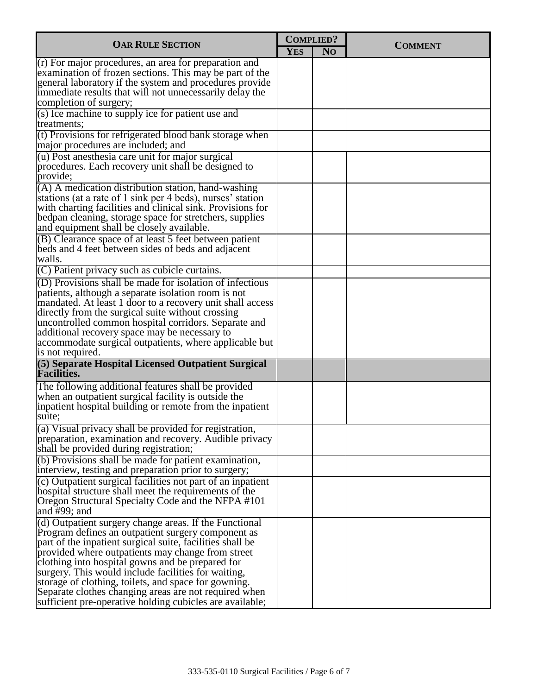| <b>OAR RULE SECTION</b>                                                                                                                                                                                                                                                                                                                                                                                                                                                                                                | <b>COMPLIED?</b> |                |                |
|------------------------------------------------------------------------------------------------------------------------------------------------------------------------------------------------------------------------------------------------------------------------------------------------------------------------------------------------------------------------------------------------------------------------------------------------------------------------------------------------------------------------|------------------|----------------|----------------|
|                                                                                                                                                                                                                                                                                                                                                                                                                                                                                                                        | <b>YES</b>       | N <sub>O</sub> | <b>COMMENT</b> |
| $(r)$ For major procedures, an area for preparation and<br>examination of frozen sections. This may be part of the<br>general laboratory if the system and procedures provide<br>immediate results that will not unnecessarily delay the<br>completion of surgery;                                                                                                                                                                                                                                                     |                  |                |                |
| (s) Ice machine to supply ice for patient use and<br>treatments;                                                                                                                                                                                                                                                                                                                                                                                                                                                       |                  |                |                |
| (t) Provisions for refrigerated blood bank storage when<br>major procedures are included; and                                                                                                                                                                                                                                                                                                                                                                                                                          |                  |                |                |
| (u) Post anesthesia care unit for major surgical<br>procedures. Each recovery unit shall be designed to<br>provide;                                                                                                                                                                                                                                                                                                                                                                                                    |                  |                |                |
| (A) A medication distribution station, hand-washing<br>stations (at a rate of 1 sink per 4 beds), nurses' station<br>with charting facilities and clinical sink. Provisions for<br>bedpan cleaning, storage space for stretchers, supplies<br>and equipment shall be closely available.                                                                                                                                                                                                                                |                  |                |                |
| (B) Clearance space of at least 5 feet between patient<br>beds and 4 feet between sides of beds and adjacent<br>walls.                                                                                                                                                                                                                                                                                                                                                                                                 |                  |                |                |
| (C) Patient privacy such as cubicle curtains.                                                                                                                                                                                                                                                                                                                                                                                                                                                                          |                  |                |                |
| (D) Provisions shall be made for isolation of infectious<br>patients, although a separate isolation room is not<br>mandated. At least 1 door to a recovery unit shall access<br>directly from the surgical suite without crossing<br>uncontrolled common hospital corridors. Separate and<br>additional recovery space may be necessary to<br>accommodate surgical outpatients, where applicable but<br>is not required.                                                                                               |                  |                |                |
| (5) Separate Hospital Licensed Outpatient Surgical<br><b>Facilities.</b>                                                                                                                                                                                                                                                                                                                                                                                                                                               |                  |                |                |
| The following additional features shall be provided<br>when an outpatient surgical facility is outside the<br>inpatient hospital building or remote from the inpatient<br>suite;                                                                                                                                                                                                                                                                                                                                       |                  |                |                |
| (a) Visual privacy shall be provided for registration,<br>preparation, examination and recovery. Audible privacy<br>shall be provided during registration;                                                                                                                                                                                                                                                                                                                                                             |                  |                |                |
| (b) Provisions shall be made for patient examination,<br>interview, testing and preparation prior to surgery;                                                                                                                                                                                                                                                                                                                                                                                                          |                  |                |                |
| (c) Outpatient surgical facilities not part of an inpatient<br>hospital structure shall meet the requirements of the<br>Oregon Structural Specialty Code and the NFPA #101<br>and $#99$ ; and                                                                                                                                                                                                                                                                                                                          |                  |                |                |
| (d) Outpatient surgery change areas. If the Functional<br>Program defines an outpatient surgery component as<br>part of the inpatient surgical suite, facilities shall be<br>provided where outpatients may change from street<br>clothing into hospital gowns and be prepared for<br>surgery. This would include facilities for waiting,<br>storage of clothing, toilets, and space for gowning.<br>Separate clothes changing areas are not required when<br>sufficient pre-operative holding cubicles are available; |                  |                |                |